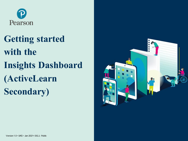

**Getting started with the Insights Dashboard (ActiveLearn Secondary)**

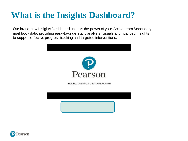# **What is the Insights Dashboard?**

Our brand-new Insights Dashboard unlocks the power of your ActiveLearn Secondary markbook data, providing easy-to-understand analysis, visuals and nuanced insights to support effective progress tracking and targeted interventions.



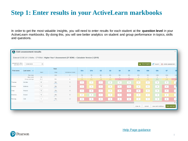#### **Step 1: Enter results in your ActiveLearn markbooks**

In order to get the most valuable insights, you will need to enter results for each student at the **question level** in your ActiveLearn markbooks. By doing this, you will see better analytics on student and group performance in topics, skills and questions.

| $\frac{1}{\sqrt{2}}$             | <b>Edit assessment results</b> |      |                          |                                                                                                      |                 |                |                |                |                         |                |                 |                   |                     |                             | $\times$     |
|----------------------------------|--------------------------------|------|--------------------------|------------------------------------------------------------------------------------------------------|-----------------|----------------|----------------|----------------|-------------------------|----------------|-----------------|-------------------|---------------------|-----------------------------|--------------|
|                                  |                                |      |                          | Edexcel GCSE (9-1) Maths - CF10Ma1: Higher Year 1 Assessment (2Y SOW) -- Calculator Version 2 (2018) |                 |                |                |                |                         |                |                 |                   |                     |                             |              |
| Assessment date:<br>(DD/MM/YYYY) | 12/06/2020                     | 曲    |                          |                                                                                                      |                 |                |                |                |                         |                |                 | Ill View Insights | $\mathbf{C}$ Export | <b>fm</b> Delete assessment |              |
|                                  |                                |      | Total                    |                                                                                                      |                 |                |                |                |                         |                |                 |                   |                     |                             |              |
| First name                       | Last name $\sqrt{}$            | Mark | Step                     | Indicative Grade                                                                                     | Q <sub>1a</sub> | Q1b            | Q2             | Q3             | Q4                      | Q <sub>5</sub> | Q <sub>6a</sub> | Q <sub>6</sub> b  | Q <sub>6c</sub>     | Q7                          | Q8           |
|                                  | Max step                       |      | 12th                     | $\overline{9}$                                                                                       | 7th             | 7th            | 8th            | 9th            | 9th                     | 9th            | 8th             | 9th               | 10th                | 10th                        | 10tl         |
|                                  | Max mark                       | 50   |                          |                                                                                                      | 3               | $\overline{2}$ | $\overline{4}$ | $\overline{2}$ | $\overline{4}$          | $\overline{4}$ | $\overline{2}$  | $\overline{2}$    | 1                   | $\overline{4}$              | 5            |
|                                  | Group average                  | 21.1 | 9th                      | 6                                                                                                    | 1.1             | 1.1            | 1.4            | 1.3            | $1.1\,$                 | 1.2            | 1.1             | 1.1               | 0.9                 | 1.9                         | 1.7          |
| Thomas                           | Alcides                        | 26   | 9th<br><b>Holland</b>    | 6                                                                                                    | $\overline{1}$  | $\overline{1}$ | $\overline{1}$ | $\overline{2}$ | $\overline{\mathbf{3}}$ | $\mathbf{3}$   | $\overline{1}$  | $\overline{1}$    | $\overline{1}$      | $\mathbf{3}$                |              |
| Monica                           | Antonia                        | 15   | 8th<br><b>COMMERCIAL</b> | $\,$ 5 $\,$                                                                                          | $\overline{1}$  | $\overline{1}$ | $\overline{1}$ | $\overline{1}$ | $\overline{1}$          | $\overline{1}$ | $\overline{1}$  | $\overline{1}$    | $\overline{1}$      | $\overline{1}$              |              |
| Gray                             | Arezoo                         | 10   | 7th<br><b>STATISTICS</b> | $\overline{4}$                                                                                       | $\overline{1}$  | $\overline{0}$ | $\overline{1}$ | $\overline{1}$ | $\overline{0}$          | $\overline{0}$ | $\circ$         | $\overline{1}$    | $\overline{1}$      | $\overline{1}$              |              |
| Branisla.                        | Arnost                         | 18   | 9th<br><b>CONTRACTOR</b> | $6\,$                                                                                                | $\overline{2}$  | $\overline{2}$ | $\overline{1}$ | $\overline{1}$ | $\overline{1}$          | $\overline{1}$ | $\overline{1}$  | $-1$              | $\overline{1}$      | $\overline{2}$              |              |
| Pierluig                         | Ciril                          | 6    | 7th<br><b>CONTRACTOR</b> | $\overline{4}$                                                                                       | $\circ$         | $\overline{0}$ | $\circ$        | $\circ$        | $\circ$                 | $\circ$        | $\overline{1}$  | $\overline{1}$    | $\overline{1}$      | $\circ$                     |              |
|                                  |                                |      |                          |                                                                                                      | $\overline{4}$  |                |                |                |                         |                |                 |                   |                     |                             | $\mathbf{r}$ |
|                                  |                                |      |                          |                                                                                                      |                 |                |                |                |                         |                | Clear all       | Cancel            | Save and continue   | Save and exit               |              |
|                                  |                                |      |                          |                                                                                                      |                 |                |                |                |                         |                |                 |                   |                     |                             |              |

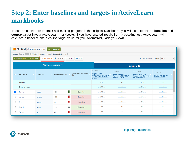### **Step 2: Enter baselines and targets in ActiveLearn markbooks**

To see if students are on track and making progress in the Insights Dashboard, you will need to enter a **baseline** and **course target** in your ActiveLearn markbooks. If you have entered results from a baseline test, ActiveLearn will calculate a baseline and a course target value for you. Alternatively, add your own.

|                      | CF10Ma1 & Edit markbook setting           |                            | <b>Ill</b> View Insights                                               |                                 |                                                                                                       |                                                                                                |                                                                                                |                                                                      |
|----------------------|-------------------------------------------|----------------------------|------------------------------------------------------------------------|---------------------------------|-------------------------------------------------------------------------------------------------------|------------------------------------------------------------------------------------------------|------------------------------------------------------------------------------------------------|----------------------------------------------------------------------|
|                      | Course: Edexcel GCSE (9-1) Maths          |                            | Length: 2 years   Course started: 2019                                 |                                 |                                                                                                       |                                                                                                |                                                                                                |                                                                      |
|                      | $\sqrt{a}$ Edit results<br>Add assessment | Set baseline               | Set target<br>$\begin{bmatrix} \overline{A} \\ 1 \end{bmatrix}$ Export | $\rightarrow$ Print             |                                                                                                       |                                                                                                | Show summary Views: Steps                                                                      | $\checkmark$                                                         |
|                      |                                           |                            | <b>Termly assessments (4)</b>                                          |                                 |                                                                                                       |                                                                                                | Unit tests (0)                                                                                 |                                                                      |
| ∩                    | <b>First Name</b>                         | <b>Last Name</b><br>$\vee$ | Course Target <sup>O</sup>                                             | <b>Assessment Progress</b><br>๏ | 12/06/2020<br><b>Higher Year 1</b><br><b>Assessment (2Y SOW)</b><br>-- Calculator Version 2<br>(2018) | 16/03/2020<br><u>Higher Term Spr1</u><br><u>Assessment (2Y SOW)</u><br><u>Version 2 (2018)</u> | 10/12/2019<br><b>Higher Term Aut1</b><br><b>Assessment (2Y SOW)</b><br><b>Version 2 (2018)</b> | 11/09/2019<br><b>Higher Baseline Test</b><br><b>Version 2 (2018)</b> |
|                      | Maximum:                                  |                            |                                                                        |                                 | 12 <sup>th</sup>                                                                                      | 12 <sup>th</sup>                                                                               | 12th                                                                                           | 9th                                                                  |
|                      | Group average:                            |                            |                                                                        |                                 | 9th<br>____                                                                                           | 8th<br>_____                                                                                   | 8th<br>_____                                                                                   | 7th<br>_____                                                         |
| $\blacktriangledown$ | <b>Thomas</b>                             | <b>Alcides</b>             | П<br>10th                                                              | +2 substeps                     | 9th<br>----                                                                                           | 9th<br>____                                                                                    | 8th<br>----                                                                                    | 8th<br>----                                                          |
|                      | Monica                                    | Antonia                    | 11th                                                                   | $+0$ substeps                   | 8th<br>----                                                                                           | 8th<br>----                                                                                    | 7th<br>----                                                                                    | 9 <sub>th</sub><br>----                                              |
|                      | Gray                                      | Arezoo                     | ш<br>9 <sub>th</sub>                                                   | -3 substeps                     | 7th<br>----                                                                                           | 8th<br>----                                                                                    | 8th<br>----                                                                                    | 8th<br>----                                                          |
| □                    | <b>Branislav</b>                          | Arnost                     | ш.<br>10 <sub>th</sub>                                                 | +2 substeps                     | 9 <sub>th</sub><br>----                                                                               | 8th<br>----                                                                                    | 9 <sub>th</sub>                                                                                | 8th<br>----                                                          |
| ∪                    | Pierluigi                                 | Ciril                      | 9 <sub>th</sub>                                                        | -3 substeps                     | 7th<br>----                                                                                           | 7th<br>----                                                                                    | 8th<br>____                                                                                    | 7 <sub>th</sub><br>----                                              |

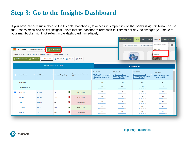## **Step 3: Go to the Insights Dashboard**

If you have already subscribed to the Insights Dashboard, to access it, simply click on the **'View Insights'** button or use the Assess menu and select 'Insights'. Note that the dashboard refreshes four times per day, so changes you make to your markbooks might not reflect in the dashboard immediately.

|   | CF10Ma1 & Edit markbook setting               | Course: Edexcel GCSE (9-1) Maths   Length: 2 years   Course started: 2019 | <b>Ill</b> View Insights       |                                 |                                                                                                       | Active Learn<br>Manage my library                                                | Library<br>Tasks<br>Plan $\vee$<br>+ Activate new access                         | Reports $\smile$ Admin<br>Assess v<br>Assessment Builder<br>Markbook<br>Insights | $\odot$ |
|---|-----------------------------------------------|---------------------------------------------------------------------------|--------------------------------|---------------------------------|-------------------------------------------------------------------------------------------------------|----------------------------------------------------------------------------------|----------------------------------------------------------------------------------|----------------------------------------------------------------------------------|---------|
|   | $+$ Add assessment<br>$\sqrt{a}$ Edit results | Set baseline                                                              | Set target<br>$\bullet$ Export | $\rightarrow$ Print             |                                                                                                       |                                                                                  |                                                                                  |                                                                                  |         |
|   |                                               |                                                                           | <b>Termly assessments (4)</b>  |                                 |                                                                                                       |                                                                                  | Unit tests (0)                                                                   |                                                                                  |         |
| п | <b>First Name</b>                             | <b>Last Name</b><br>$\checkmark$                                          | Course Target <sup>@</sup>     | <b>Assessment Progress</b><br>ຨ | 12/06/2020<br><b>Higher Year 1</b><br><b>Assessment (2Y SOW)</b><br>-- Calculator Version 2<br>(2018) | 16/03/2020<br>Higher Term Spr1<br>Assessment (2Y SOW)<br><b>Version 2 (2018)</b> | 10/12/2019<br><b>Higher Term Aut1</b><br>Assessment (2Y SOW)<br>Version 2 (2018) | 11/09/2019<br><b>Higher Baseline Test</b><br><b>Version 2 (2018)</b>             |         |
|   | Maximum:                                      |                                                                           |                                |                                 | 12th                                                                                                  | 12th                                                                             | 12th                                                                             | 9 <sub>th</sub>                                                                  |         |
|   | Group average:                                |                                                                           |                                |                                 | 9th<br>----                                                                                           | 8th<br>----                                                                      | 8th<br>____                                                                      | 7th<br>-----                                                                     |         |
| ☑ | Thomas                                        | <b>Alcides</b>                                                            | 10th                           | +2 substeps                     | 9 <sub>th</sub><br>----                                                                               | 9 <sub>th</sub><br>____                                                          | 8th<br>----                                                                      | 8th<br>----                                                                      |         |
| ⊓ | Monica                                        | Antonia                                                                   | 11th                           | +0 substeps                     | 8th<br>----                                                                                           | 8th<br>----                                                                      | 7th<br>----                                                                      | <b>9th</b><br>----                                                               |         |
| 0 | Gray                                          | Arezoo                                                                    | П<br>9 <sub>th</sub>           | -3 substeps                     | 7th<br>----                                                                                           | 8th<br>____                                                                      | 8th<br>----                                                                      | 8th<br>____                                                                      |         |
| □ | <b>Branislav</b>                              | Arnost                                                                    | 里<br>10th                      | +2 substeps                     | 9 <sub>th</sub>                                                                                       | 8th<br>----                                                                      | 9 <sub>th</sub>                                                                  | 8th<br>----                                                                      |         |
| ∩ | Pierluigi                                     | Ciril                                                                     | 9 <sub>th</sub>                | -3 substeps                     | 7th                                                                                                   | 7th<br>----                                                                      | 8th<br>----                                                                      | 7th<br>----                                                                      |         |

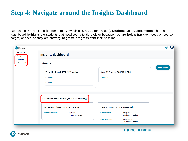#### **Step 4: Navigate around the Insights Dashboard**

earson

You can look at your results from three viewpoints: **Groups** (or classes), **Students** and **Assessments**. The main dashboard highlights the students that need your attention; either because they are **below track** to meet their course target, or because they are showing **negative progress** from their baseline.

| P Pearson<br><b>Dashboard</b><br>Groups | <b>Insights dashboard</b>                                   |                                                            | CF<br>(?)          |
|-----------------------------------------|-------------------------------------------------------------|------------------------------------------------------------|--------------------|
| <b>Students</b><br>Assessments          | <b>Groups</b>                                               |                                                            | <b>View groups</b> |
|                                         | Year 10 Edexcel GCSE (9-1) Maths<br>CF10Ma2                 | Year 11 Edexcel GCSE (9-1) Maths<br>CF11Ma1                |                    |
|                                         | CF10Ma1                                                     |                                                            |                    |
|                                         | Students that need your attention $\circledcirc$            |                                                            |                    |
|                                         | CF10Ma2 - Edexcel GCSE (9-1) Maths                          | CF11Ma1 - Edexcel GCSE (9-1) Maths                         |                    |
|                                         | Progress: 0<br><b>Anton Petronella</b><br>Attainment: Below | Progress: 1<br><b>Reziko Gostav</b><br>Attainment: Below   |                    |
|                                         |                                                             | Progress: 0<br><b>Susan Magdalini</b><br>Attainment: Below |                    |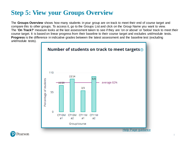## **Step 5: View your Groups Overview**

The **Groups Overview** shows how many students in your group are on track to meet their end of course target and compare this to other groups. To access it, go to the Groups List and click on the Group Name you want to view. The '**On Track?**' measure looks at the last assessment taken to see if they are 'on or above' or 'below' track to meet their course target. It is based on linear progress from their baseline to their course target and excludes unit/module tests. **Progress** is the difference in indicative grades between the latest assessment and the baseline test (excluding unit/module tests).



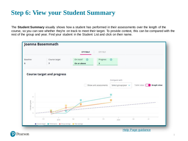### **Step 6: View your Student Summary**

The **Student Summary** visually shows how a student has performed in their assessments over the length of the course, so you can see whether they're on track to meet their target. To provide context, this can be compared with the rest of the group and year. Find your student in the Student List and click on their name.

|                  |                                                          | CF11Ma1              | CF11Sc1               |                     |                    |                                         |
|------------------|----------------------------------------------------------|----------------------|-----------------------|---------------------|--------------------|-----------------------------------------|
| Baseline         | Course target                                            | On track?<br>$\circ$ | Progress              | $\circledcirc$      |                    |                                         |
|                  | $\overline{7}$                                           | On or above          | 3                     |                     |                    |                                         |
|                  |                                                          |                      |                       |                     |                    |                                         |
|                  | <b>Course target and progress</b>                        |                      |                       |                     |                    |                                         |
|                  |                                                          |                      |                       |                     |                    |                                         |
|                  |                                                          |                      |                       | Compare with        |                    |                                         |
|                  |                                                          |                      | Show unit assessments | Select group/year v | Table view         | <b>Graph view</b><br><b>Participate</b> |
|                  |                                                          |                      |                       |                     |                    |                                         |
|                  |                                                          |                      |                       |                     |                    |                                         |
| 县                |                                                          |                      |                       |                     |                    |                                         |
| $\tau$           |                                                          |                      |                       |                     |                    |                                         |
| Indicative grade |                                                          |                      |                       |                     |                    |                                         |
| $\overline{6}$   |                                                          |                      |                       |                     |                    |                                         |
| $\alpha$         |                                                          |                      |                       |                     |                    |                                         |
|                  |                                                          |                      | т                     |                     |                    |                                         |
|                  | out<br>2019                                              | .<br>Sul<br>Apr      | Oct                   | 2020                | Apr<br>$\lambda t$ |                                         |
|                  | Course target Ferfornance D Group average P Year average |                      |                       |                     |                    |                                         |
|                  |                                                          |                      |                       |                     |                    |                                         |

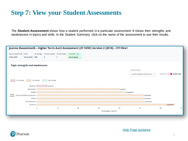#### **Step 7: View your Student Assessments**

The **Student Assessment** shows how a student performed in a particular assessment. It shows their strengths and weaknesses in topics and skills. In the Student Summary, click on the name of the assessment to see their results.

|                                       |                                |          |                                                    |                | Joanna Basemmath - Higher Term Aut2 Assessment (2Y SOW) Version 2 (2018) - CF11Ma1 |    |                              |                 |                                |                                 |
|---------------------------------------|--------------------------------|----------|----------------------------------------------------|----------------|------------------------------------------------------------------------------------|----|------------------------------|-----------------|--------------------------------|---------------------------------|
| Date of assessment<br>18 Dec 2019     | Mark<br>30 out of 50 60%       |          | Percentage   Indicative grade   Course target<br>8 | $\overline{7}$ | On track? $\odot$<br>On or above                                                   |    |                              |                 |                                |                                 |
| <b>Topic strengths and weaknesses</b> |                                |          |                                                    |                |                                                                                    |    |                              |                 |                                |                                 |
|                                       |                                |          |                                                    |                |                                                                                    |    |                              | Order of topics |                                |                                 |
|                                       |                                |          |                                                    |                |                                                                                    |    |                              |                 | Lowest to highest perfomance v | Table view<br><b>Graph view</b> |
| Low Average                           | : : Mid Average<br>Equations   |          | - High Average<br>1 question                       |                |                                                                                    |    |                              |                 |                                |                                 |
|                                       | Expressions                    |          |                                                    |                |                                                                                    |    |                              | 1 question      |                                |                                 |
|                                       | Graphs                         |          |                                                    |                |                                                                                    |    |                              | 3 questions     |                                |                                 |
| Topics<br>tested                      | Direct and indirect proportion |          |                                                    |                |                                                                                    |    |                              |                 | 4 auestions                    |                                 |
|                                       | Vectors                        |          |                                                    |                |                                                                                    |    |                              |                 | 4 questions                    |                                 |
|                                       | Circle theorems                |          |                                                    |                |                                                                                    |    |                              |                 | 3 questions                    |                                 |
|                                       | Functions                      |          |                                                    |                |                                                                                    |    |                              |                 |                                | 3 auestions :                   |
|                                       |                                | $\Omega$ |                                                    | 10             | 20                                                                                 | 30 | 40<br>Percentage correct (%) |                 | 50                             | 60<br>70                        |

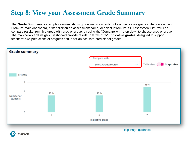## **Step 8: View your Assessment Grade Summary**

The **Grade Summary** is a simple overview showing how many students got each indicative grade in the assessment. From the main dashboard, either click on an assessment name, or select it from the full Assessment List. You can compare results from this group with another group, by using the 'Compare with' drop down to choose another group. The markbooks and Insights Dashboard provide results in terms of **9-1 indicative grades**, designed to support teachers' own predictions of progress and is not an accurate predictor of grades.



earson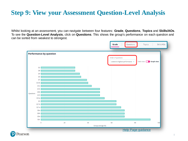## **Step 9: View your Assessment Question-Level Analysis**

Whilst looking at an assessment, you can navigate between four features: **Grade**, **Questions**, **Topics** and **Skills/AOs**. To see the **Question-Level Analysis**, click on **Questions**. This shows the group's performance on each question and can be sorted from weakest to strongest.

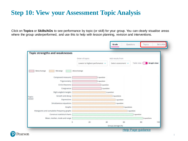#### **Step 10: View your Assessment Topic Analysis**

Click on **Topics** or **Skills/AOs** to see performance by topic (or skill) for your group. You can clearly visualise areas where the group underperformed, and use this to help with lesson planning, revision and interventions.

| Order of topics<br>Add results from<br><b>Graph view</b><br>Table view<br>Lowest to highest perfomance v<br>Select assessment v<br>Mid-range Above Average<br>Below Average<br>Compound measures<br>1 question<br>Trigonometry<br>1 question<br>Circle theorems<br>1 question<br>Congruence<br>1 question<br>1 question<br>Right-angled triangles<br>2 questions<br>Growth and decay<br>1 question<br>Expressions<br>Simultaneous equations<br>:1 question<br>Graphs :<br>5 questions<br>Histograms and cumulative frequency graphs<br>1 question<br>Construct statistical charts<br>1 question<br>Mean, median, mode and range<br>2 questions<br>20<br>60<br>80<br>$\ddot{\mathbf{0}}$<br>40<br>100 |                  |  |  |
|------------------------------------------------------------------------------------------------------------------------------------------------------------------------------------------------------------------------------------------------------------------------------------------------------------------------------------------------------------------------------------------------------------------------------------------------------------------------------------------------------------------------------------------------------------------------------------------------------------------------------------------------------------------------------------------------------|------------------|--|--|
|                                                                                                                                                                                                                                                                                                                                                                                                                                                                                                                                                                                                                                                                                                      |                  |  |  |
|                                                                                                                                                                                                                                                                                                                                                                                                                                                                                                                                                                                                                                                                                                      |                  |  |  |
|                                                                                                                                                                                                                                                                                                                                                                                                                                                                                                                                                                                                                                                                                                      |                  |  |  |
|                                                                                                                                                                                                                                                                                                                                                                                                                                                                                                                                                                                                                                                                                                      |                  |  |  |
|                                                                                                                                                                                                                                                                                                                                                                                                                                                                                                                                                                                                                                                                                                      |                  |  |  |
|                                                                                                                                                                                                                                                                                                                                                                                                                                                                                                                                                                                                                                                                                                      |                  |  |  |
|                                                                                                                                                                                                                                                                                                                                                                                                                                                                                                                                                                                                                                                                                                      | Topics<br>tested |  |  |
|                                                                                                                                                                                                                                                                                                                                                                                                                                                                                                                                                                                                                                                                                                      |                  |  |  |
|                                                                                                                                                                                                                                                                                                                                                                                                                                                                                                                                                                                                                                                                                                      |                  |  |  |
|                                                                                                                                                                                                                                                                                                                                                                                                                                                                                                                                                                                                                                                                                                      |                  |  |  |
|                                                                                                                                                                                                                                                                                                                                                                                                                                                                                                                                                                                                                                                                                                      |                  |  |  |
|                                                                                                                                                                                                                                                                                                                                                                                                                                                                                                                                                                                                                                                                                                      |                  |  |  |
|                                                                                                                                                                                                                                                                                                                                                                                                                                                                                                                                                                                                                                                                                                      |                  |  |  |
|                                                                                                                                                                                                                                                                                                                                                                                                                                                                                                                                                                                                                                                                                                      |                  |  |  |
|                                                                                                                                                                                                                                                                                                                                                                                                                                                                                                                                                                                                                                                                                                      |                  |  |  |

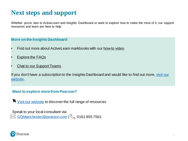#### **Next steps and support**

Whether you're new to ActiveLearn and Insights Dashboard or want to explore how to make the most of it, our support resources and team are here to help.

#### **More on the Insights Dashboard**

- Find out more about ActiveLearn markbooks with our [how-to video](https://www.youtube.com/watch?v=nOXDzq3qre4&t=3s)
- **[Explore the FAQs](https://www.pearsonschoolsandfecolleges.co.uk/digitalsupport/secondary/alds-helparea/04-help-for-teachers/insights-dashboard.aspx)**
- **[Chat to our Support Teams](https://www.pearsonschoolsandfecolleges.co.uk/ContactUs/ContactUs.aspx)**

If you don't have a subscription to the Insights Dashboard and would like to find out more, visit our website.

#### **Want to explore more from Pearson?**

[Visit our website](https://www.pearsonschoolsandfecolleges.co.uk/home.aspx) to discover the full range of resources

Speak to your local consultant via:

[GQManchester@pearson.com](mailto:GQManchester@pearson.com) | \\ 0161 855 7561